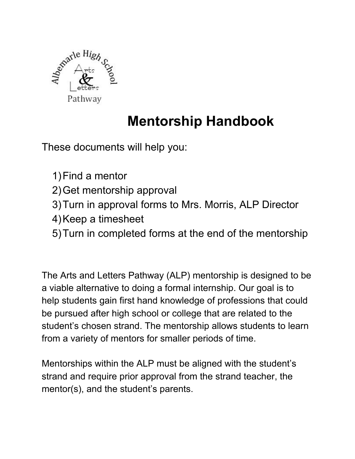

# **Mentorship Handbook**

These documents will help you:

- 1)Find a mentor
- 2)Get mentorship approval
- 3)Turn in approval forms to Mrs. Morris, ALP Director
- 4)Keep a timesheet
- 5)Turn in completed forms at the end of the mentorship

The Arts and Letters Pathway (ALP) mentorship is designed to be a viable alternative to doing a formal internship. Our goal is to help students gain first hand knowledge of professions that could be pursued after high school or college that are related to the student's chosen strand. The mentorship allows students to learn from a variety of mentors for smaller periods of time.

Mentorships within the ALP must be aligned with the student's strand and require prior approval from the strand teacher, the mentor(s), and the student's parents.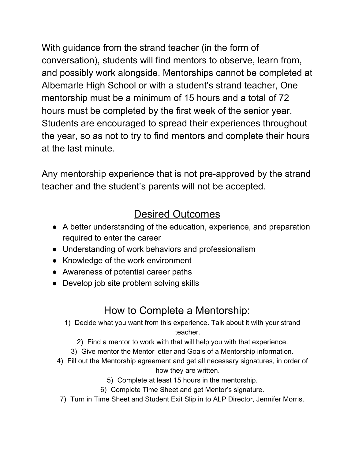With guidance from the strand teacher (in the form of conversation), students will find mentors to observe, learn from, and possibly work alongside. Mentorships cannot be completed at Albemarle High School or with a student's strand teacher, One mentorship must be a minimum of 15 hours and a total of 72 hours must be completed by the first week of the senior year. Students are encouraged to spread their experiences throughout the year, so as not to try to find mentors and complete their hours at the last minute.

Any mentorship experience that is not pre-approved by the strand teacher and the student's parents will not be accepted.

# Desired Outcomes

- A better understanding of the education, experience, and preparation required to enter the career
- Understanding of work behaviors and professionalism
- Knowledge of the work environment
- Awareness of potential career paths
- Develop job site problem solving skills

# How to Complete a Mentorship:

- 1) Decide what you want from this experience. Talk about it with your strand teacher.
	- 2) Find a mentor to work with that will help you with that experience.
	- 3) Give mentor the Mentor letter and Goals of a Mentorship information.
- 4) Fill out the Mentorship agreement and get all necessary signatures, in order of how they are written.
	- 5) Complete at least 15 hours in the mentorship.
	- 6) Complete Time Sheet and get Mentor's signature.
	- 7) Turn in Time Sheet and Student Exit Slip in to ALP Director, Jennifer Morris.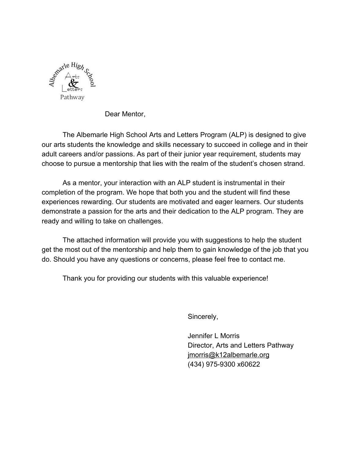

Dear Mentor,

The Albemarle High School Arts and Letters Program (ALP) is designed to give our arts students the knowledge and skills necessary to succeed in college and in their adult careers and/or passions. As part of their junior year requirement, students may choose to pursue a mentorship that lies with the realm of the student's chosen strand.

As a mentor, your interaction with an ALP student is instrumental in their completion of the program. We hope that both you and the student will find these experiences rewarding. Our students are motivated and eager learners. Our students demonstrate a passion for the arts and their dedication to the ALP program. They are ready and willing to take on challenges.

The attached information will provide you with suggestions to help the student get the most out of the mentorship and help them to gain knowledge of the job that you do. Should you have any questions or concerns, please feel free to contact me.

Thank you for providing our students with this valuable experience!

Sincerely,

Jennifer L Morris Director, Arts and Letters Pathway [jmorris@k12albemarle.org](mailto:jmorris@k12albemarle.org) (434) 975-9300 x60622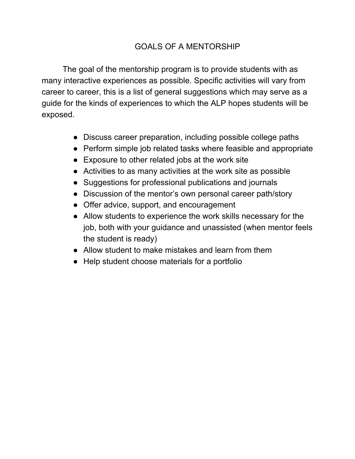#### GOALS OF A MENTORSHIP

The goal of the mentorship program is to provide students with as many interactive experiences as possible. Specific activities will vary from career to career, this is a list of general suggestions which may serve as a guide for the kinds of experiences to which the ALP hopes students will be exposed.

- Discuss career preparation, including possible college paths
- Perform simple job related tasks where feasible and appropriate
- Exposure to other related jobs at the work site
- Activities to as many activities at the work site as possible
- Suggestions for professional publications and journals
- Discussion of the mentor's own personal career path/story
- Offer advice, support, and encouragement
- Allow students to experience the work skills necessary for the job, both with your guidance and unassisted (when mentor feels the student is ready)
- Allow student to make mistakes and learn from them
- Help student choose materials for a portfolio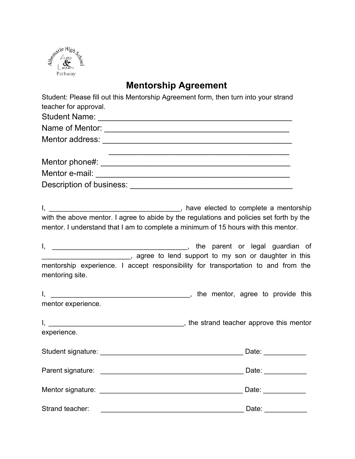

### **Mentorship Agreement**

Student: Please fill out this Mentorship Agreement form, then turn into your strand teacher for approval.

| <b>Student Name:</b>                                                                                                                                                                                                          |  |  |  |
|-------------------------------------------------------------------------------------------------------------------------------------------------------------------------------------------------------------------------------|--|--|--|
| Name of Mentor:                                                                                                                                                                                                               |  |  |  |
| Mentor address: Mentor and Solvey Street Street Street Street Street Street Street Street Street Street Street                                                                                                                |  |  |  |
|                                                                                                                                                                                                                               |  |  |  |
| Mentor phone#: example and all the set of the set of the set of the set of the set of the set of the set of the set of the set of the set of the set of the set of the set of the set of the set of the set of the set of the |  |  |  |
|                                                                                                                                                                                                                               |  |  |  |
| Description of business:                                                                                                                                                                                                      |  |  |  |

I, \_\_\_\_\_\_\_\_\_\_\_\_\_\_\_\_\_\_\_\_\_\_\_\_\_\_\_\_\_\_\_\_\_\_, have elected to complete a mentorship with the above mentor. I agree to abide by the regulations and policies set forth by the mentor. I understand that I am to complete a minimum of 15 hours with this mentor.

I, \_\_\_\_\_\_\_\_\_\_\_\_\_\_\_\_\_\_\_\_\_\_\_\_\_\_\_\_\_\_\_\_\_\_\_, the parent or legal guardian of \_\_\_\_\_\_\_\_\_\_\_\_\_\_\_\_\_\_\_\_\_\_\_, agree to lend support to my son or daughter in this mentorship experience. I accept responsibility for transportation to and from the mentoring site.

I, \_\_\_\_\_\_\_\_\_\_\_\_\_\_\_\_\_\_\_\_\_\_\_\_\_\_\_\_\_\_\_\_\_\_\_\_, the mentor, agree to provide this mentor experience.

|             | , the strand teacher approve this mentor |  |  |
|-------------|------------------------------------------|--|--|
| experience. |                                          |  |  |

| Student signature:                                                                                                                                                                                                            | Date: |
|-------------------------------------------------------------------------------------------------------------------------------------------------------------------------------------------------------------------------------|-------|
| Parent signature:                                                                                                                                                                                                             | Date: |
| Mentor signature: example and the state of the state of the state of the state of the state of the state of the state of the state of the state of the state of the state of the state of the state of the state of the state | Date: |
| Strand teacher:                                                                                                                                                                                                               | Date: |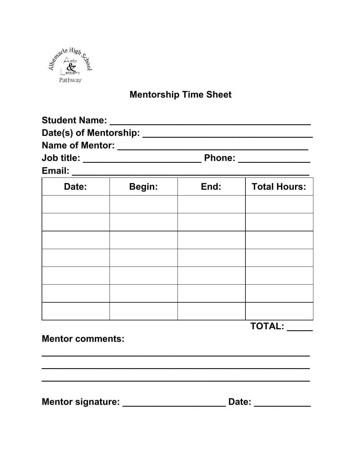

## **Mentorship Time Sheet**

| <b>Student Name:</b>   |               |
|------------------------|---------------|
| Date(s) of Mentorship: |               |
| <b>Name of Mentor:</b> |               |
| <b>Job title:</b>      | <b>Phone:</b> |
| Email:                 |               |

| Date: | Begin: | End: | <b>Total Hours:</b> |
|-------|--------|------|---------------------|
|       |        |      |                     |
|       |        |      |                     |
|       |        |      |                     |
|       |        |      |                     |
|       |        |      |                     |
|       |        |      |                     |
|       |        |      |                     |

TOTAL: \_\_\_\_\_

**Mentor comments:** 

Mentor signature: \_\_\_\_\_\_\_\_\_\_\_\_\_\_\_\_\_\_\_\_\_\_\_\_\_\_\_ Date: \_\_\_\_\_\_\_\_\_\_\_